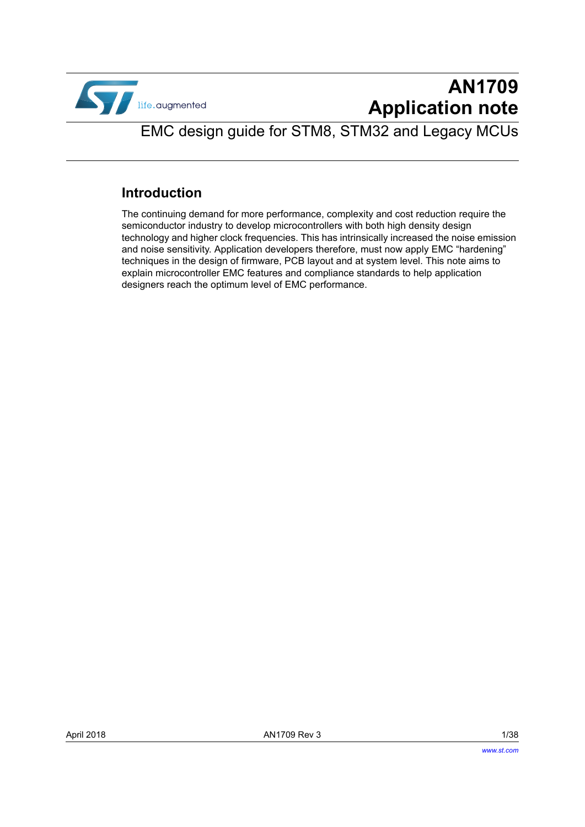

# **AN1709 Application note**

EMC design guide for STM8, STM32 and Legacy MCUs

# **Introduction**

The continuing demand for more performance, complexity and cost reduction require the semiconductor industry to develop microcontrollers with both high density design technology and higher clock frequencies. This has intrinsically increased the noise emission and noise sensitivity. Application developers therefore, must now apply EMC "hardening" techniques in the design of firmware, PCB layout and at system level. This note aims to explain microcontroller EMC features and compliance standards to help application designers reach the optimum level of EMC performance.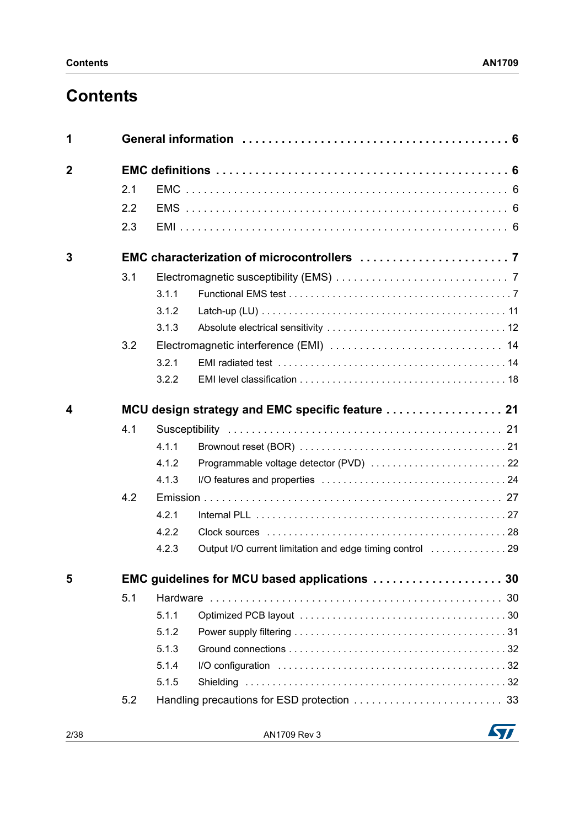# **Contents**

| 1           |     |       |                                                  |
|-------------|-----|-------|--------------------------------------------------|
| $\mathbf 2$ |     |       |                                                  |
|             | 2.1 |       |                                                  |
|             | 2.2 |       |                                                  |
|             | 2.3 |       |                                                  |
| 3           |     |       |                                                  |
|             | 3.1 |       |                                                  |
|             |     | 3.1.1 |                                                  |
|             |     | 3.1.2 |                                                  |
|             |     | 3.1.3 |                                                  |
|             | 3.2 |       |                                                  |
|             |     | 3.2.1 |                                                  |
|             |     | 3.2.2 |                                                  |
| 4           |     |       | MCU design strategy and EMC specific feature  21 |
|             | 4.1 |       |                                                  |
|             |     | 4.1.1 |                                                  |
|             |     | 4.1.2 |                                                  |
|             |     | 4.1.3 |                                                  |
|             | 4.2 |       |                                                  |
|             |     | 4.2.1 |                                                  |
|             |     | 4.2.2 |                                                  |
|             |     | 4.2.3 |                                                  |
| 5           |     |       | EMC guidelines for MCU based applications  30    |
|             | 5.1 |       |                                                  |
|             |     | 5.1.1 |                                                  |
|             |     | 5.1.2 |                                                  |
|             |     | 5.1.3 |                                                  |
|             |     | 5.1.4 |                                                  |
|             |     | 5.1.5 |                                                  |
|             | 5.2 |       |                                                  |

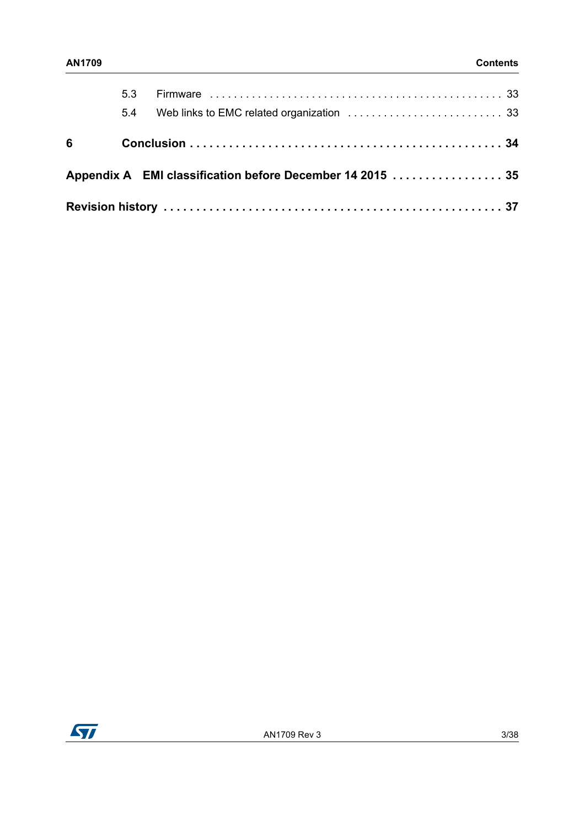|           | 5.3<br>5.4 |                                                           |  |
|-----------|------------|-----------------------------------------------------------|--|
| $6\qquad$ |            |                                                           |  |
|           |            | Appendix A EMI classification before December 14 2015  35 |  |
|           |            |                                                           |  |

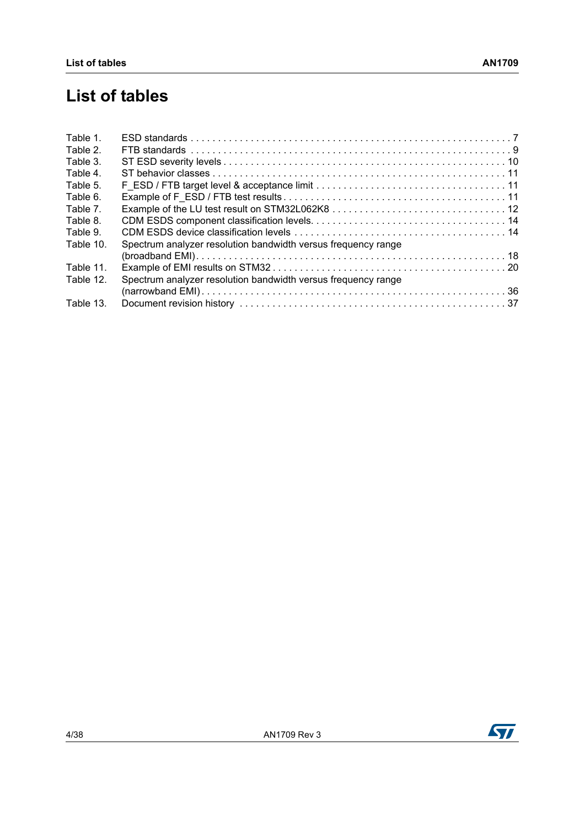# **List of tables**

| Table 1.  |                                                               |  |
|-----------|---------------------------------------------------------------|--|
| Table 2.  |                                                               |  |
| Table 3.  |                                                               |  |
| Table 4.  |                                                               |  |
| Table 5.  |                                                               |  |
| Table 6.  |                                                               |  |
| Table 7.  |                                                               |  |
| Table 8.  |                                                               |  |
| Table 9.  |                                                               |  |
| Table 10. | Spectrum analyzer resolution bandwidth versus frequency range |  |
|           |                                                               |  |
| Table 11. |                                                               |  |
| Table 12. | Spectrum analyzer resolution bandwidth versus frequency range |  |
|           |                                                               |  |
| Table 13. |                                                               |  |
|           |                                                               |  |

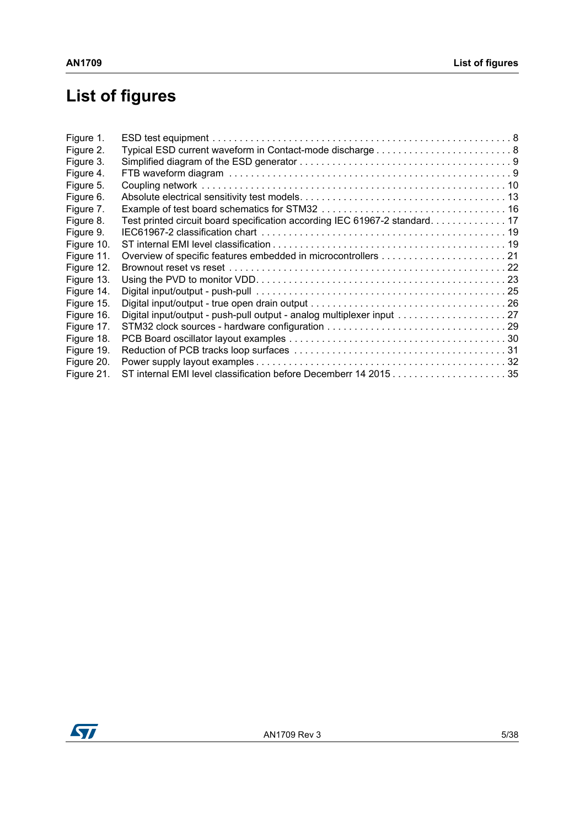# **List of figures**

| Figure 1.  |                                                                            |  |
|------------|----------------------------------------------------------------------------|--|
| Figure 2.  |                                                                            |  |
| Figure 3.  |                                                                            |  |
| Figure 4.  |                                                                            |  |
| Figure 5.  |                                                                            |  |
| Figure 6.  |                                                                            |  |
| Figure 7.  |                                                                            |  |
| Figure 8.  | Test printed circuit board specification according IEC 61967-2 standard 17 |  |
| Figure 9.  |                                                                            |  |
| Figure 10. |                                                                            |  |
| Figure 11. |                                                                            |  |
| Figure 12. |                                                                            |  |
| Figure 13. |                                                                            |  |
| Figure 14. |                                                                            |  |
| Figure 15. |                                                                            |  |
| Figure 16. | Digital input/output - push-pull output - analog multiplexer input 27      |  |
| Figure 17. |                                                                            |  |
| Figure 18. |                                                                            |  |
| Figure 19. |                                                                            |  |
| Figure 20. |                                                                            |  |
| Figure 21. | ST internal EMI level classification before Decemberr 14 201535            |  |

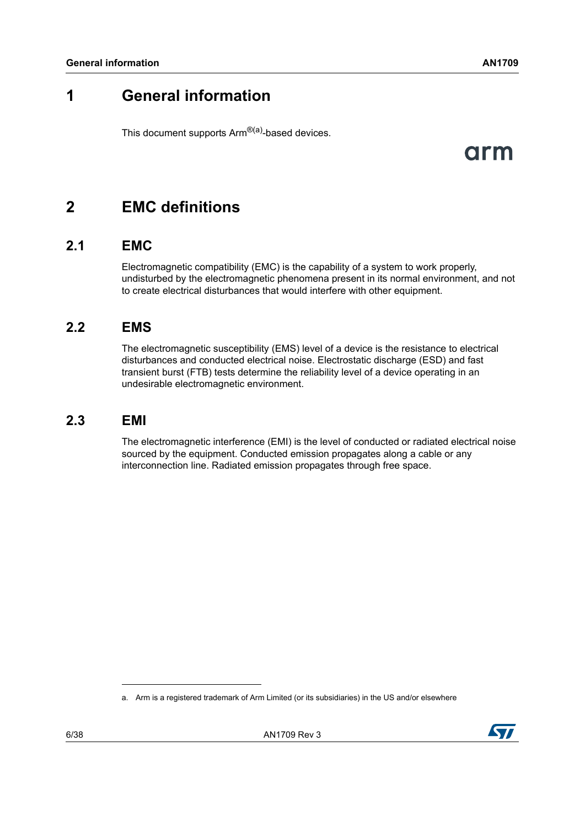# <span id="page-5-0"></span>**1 General information**

This document supports Arm<sup>®(a)</sup>-based devices.

# arm

# <span id="page-5-1"></span>**2 EMC definitions**

# <span id="page-5-2"></span>**2.1 EMC**

Electromagnetic compatibility (EMC) is the capability of a system to work properly, undisturbed by the electromagnetic phenomena present in its normal environment, and not to create electrical disturbances that would interfere with other equipment.

# <span id="page-5-3"></span>**2.2 EMS**

The electromagnetic susceptibility (EMS) level of a device is the resistance to electrical disturbances and conducted electrical noise. Electrostatic discharge (ESD) and fast transient burst (FTB) tests determine the reliability level of a device operating in an undesirable electromagnetic environment.

# <span id="page-5-4"></span>**2.3 EMI**

The electromagnetic interference (EMI) is the level of conducted or radiated electrical noise sourced by the equipment. Conducted emission propagates along a cable or any interconnection line. Radiated emission propagates through free space.

a. Arm is a registered trademark of Arm Limited (or its subsidiaries) in the US and/or elsewhere

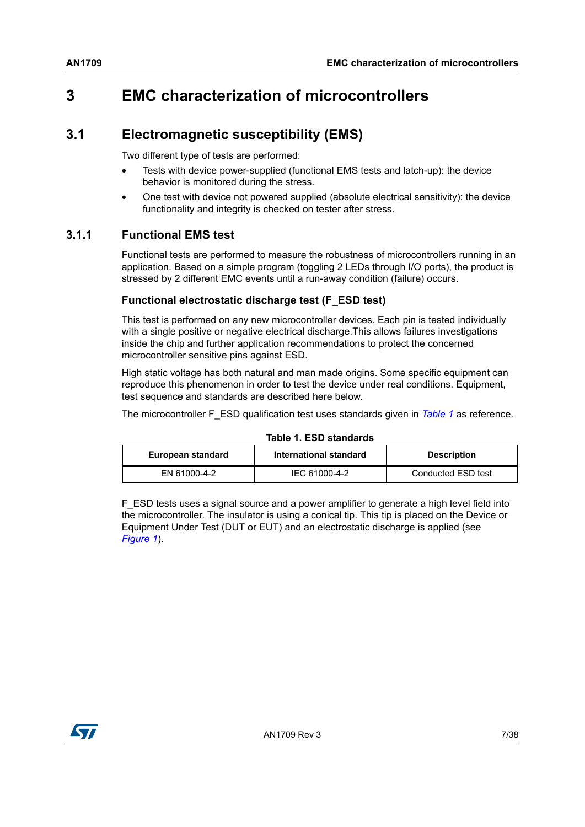# <span id="page-6-0"></span>**3 EMC characterization of microcontrollers**

# <span id="page-6-1"></span>**3.1 Electromagnetic susceptibility (EMS)**

Two different type of tests are performed:

- Tests with device power-supplied (functional EMS tests and latch-up): the device behavior is monitored during the stress.
- One test with device not powered supplied (absolute electrical sensitivity): the device functionality and integrity is checked on tester after stress.

## <span id="page-6-2"></span>**3.1.1 Functional EMS test**

Functional tests are performed to measure the robustness of microcontrollers running in an application. Based on a simple program (toggling 2 LEDs through I/O ports), the product is stressed by 2 different EMC events until a run-away condition (failure) occurs.

### **Functional electrostatic discharge test (F\_ESD test)**

This test is performed on any new microcontroller devices. Each pin is tested individually with a single positive or negative electrical discharge.This allows failures investigations inside the chip and further application recommendations to protect the concerned microcontroller sensitive pins against ESD.

High static voltage has both natural and man made origins. Some specific equipment can reproduce this phenomenon in order to test the device under real conditions. Equipment, test sequence and standards are described here below.

The microcontroller F\_ESD qualification test uses standards given in *[Table](#page-6-3) 1* as reference.

<span id="page-6-3"></span>

| European standard | International standard | <b>Description</b> |  |  |  |
|-------------------|------------------------|--------------------|--|--|--|
| EN 61000-4-2      | IEC 61000-4-2          | Conducted ESD test |  |  |  |

#### **Table 1. ESD standards**

F\_ESD tests uses a signal source and a power amplifier to generate a high level field into the microcontroller. The insulator is using a conical tip. This tip is placed on the Device or Equipment Under Test (DUT or EUT) and an electrostatic discharge is applied (see *[Figure](#page-7-0) 1*).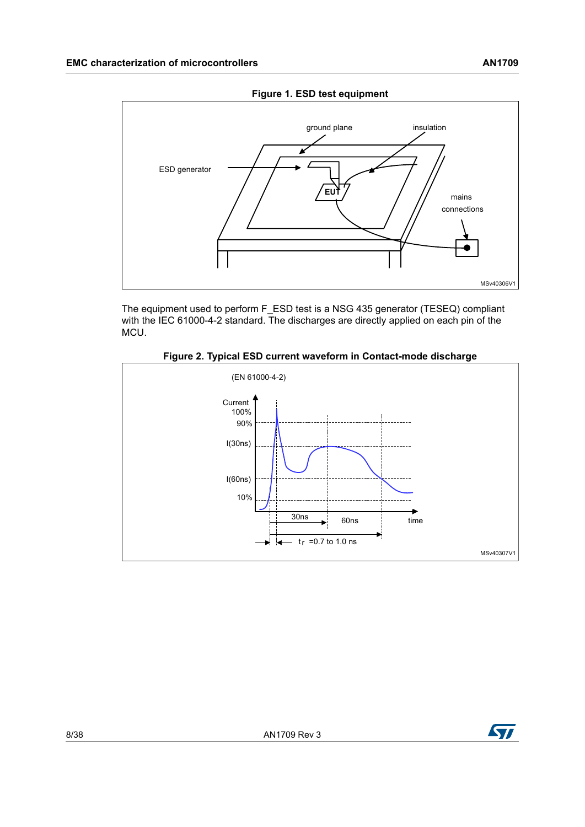<span id="page-7-0"></span>

The equipment used to perform F\_ESD test is a NSG 435 generator (TESEQ) compliant with the IEC 61000-4-2 standard. The discharges are directly applied on each pin of the MCU.



<span id="page-7-1"></span>



MSv40306V1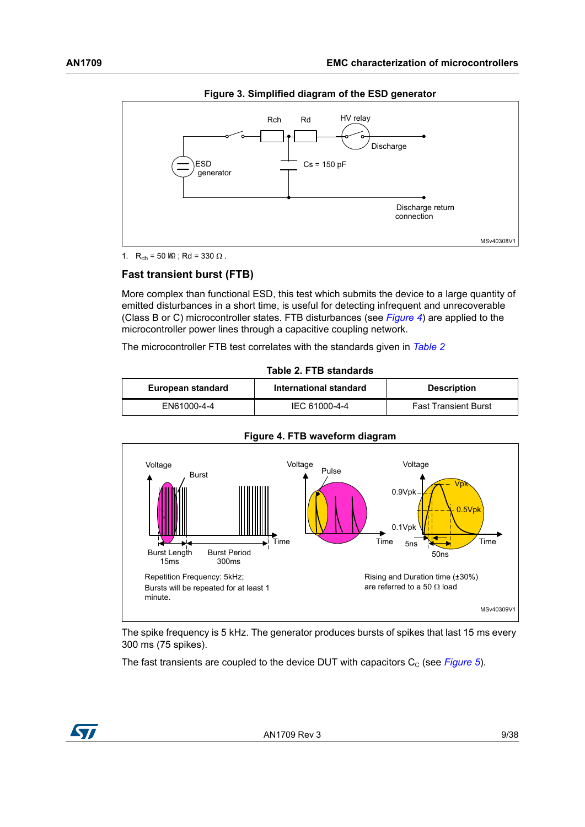<span id="page-8-1"></span>

**Figure 3. Simplified diagram of the ESD generator**

1.  $R_{ch} = 50 M\Omega$ ; Rd = 330  $\Omega$ .

#### **Fast transient burst (FTB)**

More complex than functional ESD, this test which submits the device to a large quantity of emitted disturbances in a short time, is useful for detecting infrequent and unrecoverable (Class B or C) microcontroller states. FTB disturbances (see *[Figure](#page-8-2) 4*) are applied to the microcontroller power lines through a capacitive coupling network.

The microcontroller FTB test correlates with the standards given in *[Table](#page-8-0) 2*

<span id="page-8-0"></span>

| Table 2. FTB standards |                        |                             |  |  |
|------------------------|------------------------|-----------------------------|--|--|
| European standard      | International standard | <b>Description</b>          |  |  |
| EN61000-4-4            | IEC 61000-4-4          | <b>Fast Transient Burst</b> |  |  |

<span id="page-8-2"></span>

#### **Figure 4. FTB waveform diagram**

The spike frequency is 5 kHz. The generator produces bursts of spikes that last 15 ms every 300 ms (75 spikes).

The fast transients are coupled to the device DUT with capacitors  $C_c$  (see *[Figure](#page-9-1) 5*).

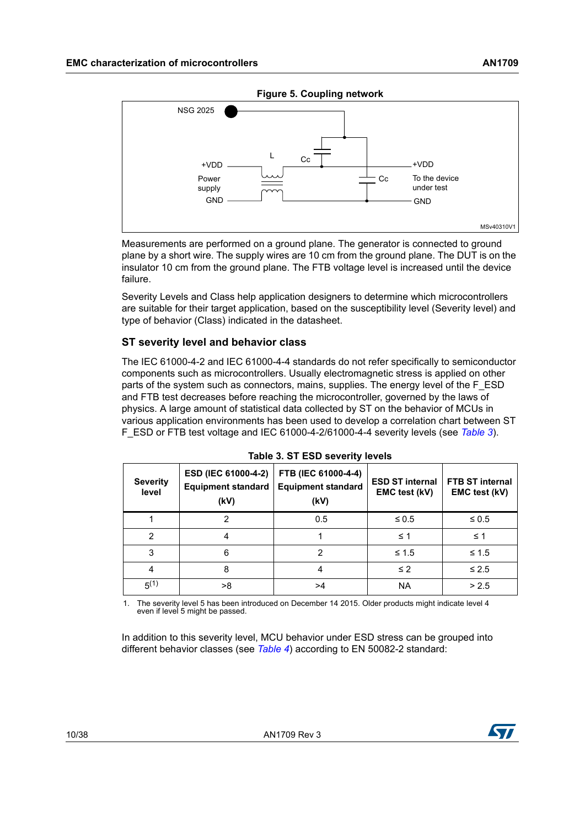<span id="page-9-1"></span>

Measurements are performed on a ground plane. The generator is connected to ground plane by a short wire. The supply wires are 10 cm from the ground plane. The DUT is on the insulator 10 cm from the ground plane. The FTB voltage level is increased until the device failure.

Severity Levels and Class help application designers to determine which microcontrollers are suitable for their target application, based on the susceptibility level (Severity level) and type of behavior (Class) indicated in the datasheet.

#### **ST severity level and behavior class**

The IEC 61000-4-2 and IEC 61000-4-4 standards do not refer specifically to semiconductor components such as microcontrollers. Usually electromagnetic stress is applied on other parts of the system such as connectors, mains, supplies. The energy level of the F\_ESD and FTB test decreases before reaching the microcontroller, governed by the laws of physics. A large amount of statistical data collected by ST on the behavior of MCUs in various application environments has been used to develop a correlation chart between ST F\_ESD or FTB test voltage and IEC 61000-4-2/61000-4-4 severity levels (see *[Table](#page-9-0) 3*).

<span id="page-9-0"></span>

| <b>Severity</b><br>level | ESD (IEC 61000-4-2)<br><b>Equipment standard</b><br>(kV) | FTB (IEC 61000-4-4)<br><b>Equipment standard</b><br>(kV) | <b>ESD ST internal</b><br>EMC test (kV) | <b>FTB ST internal</b><br>EMC test (kV) |
|--------------------------|----------------------------------------------------------|----------------------------------------------------------|-----------------------------------------|-----------------------------------------|
|                          | 2                                                        | 0.5                                                      | $\leq 0.5$                              | $\leq 0.5$                              |
| $\mathcal{P}$            | 4                                                        |                                                          | $\leq 1$                                | $\leq 1$                                |
| 3                        | 6                                                        | 2                                                        | ≤ 1.5                                   | ≤ 1.5                                   |
| 4                        | 8                                                        | 4                                                        | $\leq$ 2                                | $\leq 2.5$                              |
| $5^{(1)}$                | >8                                                       | >4                                                       | <b>NA</b>                               | > 2.5                                   |

1. The severity level 5 has been introduced on December 14 2015. Older products might indicate level 4 even if level 5 might be passed.

In addition to this severity level, MCU behavior under ESD stress can be grouped into different behavior classes (see *[Table](#page-10-1) 4*) according to EN 50082-2 standard:

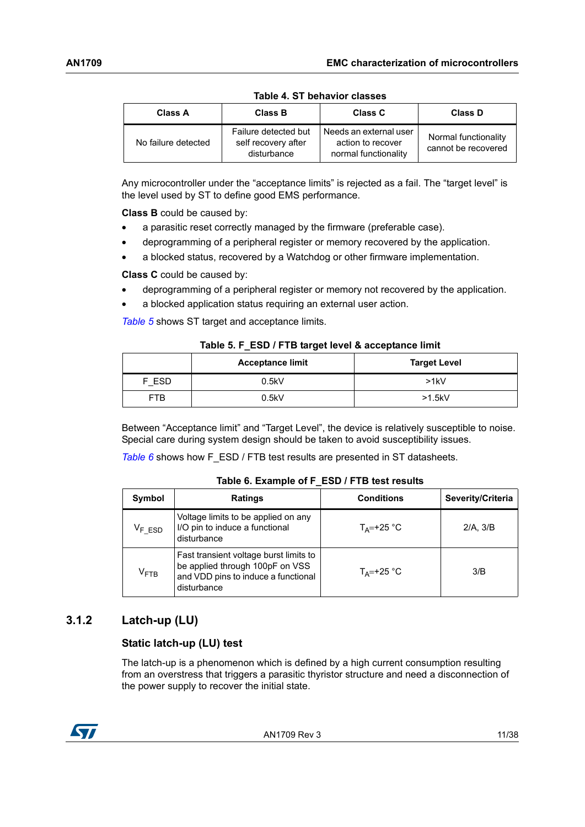<span id="page-10-1"></span>

| IUDIU T. U I DUIIUVIUI URUJUU |                                                            |                                                                     |                                             |  |  |
|-------------------------------|------------------------------------------------------------|---------------------------------------------------------------------|---------------------------------------------|--|--|
| Class A                       | <b>Class B</b>                                             | <b>Class C</b>                                                      | Class D                                     |  |  |
| No failure detected           | Failure detected but<br>self recovery after<br>disturbance | Needs an external user<br>action to recover<br>normal functionality | Normal functionality<br>cannot be recovered |  |  |

**Table 4. ST behavior classes**

Any microcontroller under the "acceptance limits" is rejected as a fail. The "target level" is the level used by ST to define good EMS performance.

**Class B** could be caused by:

- a parasitic reset correctly managed by the firmware (preferable case).
- deprogramming of a peripheral register or memory recovered by the application.
- a blocked status, recovered by a Watchdog or other firmware implementation.

**Class C** could be caused by:

- deprogramming of a peripheral register or memory not recovered by the application.
- a blocked application status requiring an external user action.

*[Table](#page-10-2) 5* shows ST target and acceptance limits.

<span id="page-10-2"></span>

| Table 5. F ESD / F IB target level & acceptance limit |       |      |  |
|-------------------------------------------------------|-------|------|--|
| <b>Acceptance limit</b><br><b>Target Level</b>        |       |      |  |
| F ESD                                                 | 0.5kV | >1kV |  |
|                                                       |       |      |  |

FTB 0.5kV >1.5kV

**Table 5. F\_ESD / FTB target level & acceptance limit**

Between "Acceptance limit" and "Target Level", the device is relatively susceptible to noise. Special care during system design should be taken to avoid susceptibility issues.

**[Table](#page-10-3) 6** shows how F\_ESD / FTB test results are presented in ST datasheets.

<span id="page-10-3"></span>

| Symbol                    | <b>Ratings</b>                                                                                                                  | <b>Conditions</b>    | Severity/Criteria |
|---------------------------|---------------------------------------------------------------------------------------------------------------------------------|----------------------|-------------------|
| $V_F$ ESD                 | Voltage limits to be applied on any<br>I/O pin to induce a functional<br>disturbance                                            | $T_{\Delta}$ =+25 °C | 2/A.3/B           |
| $\mathsf{V}_\mathsf{FTB}$ | Fast transient voltage burst limits to<br>be applied through 100pF on VSS<br>and VDD pins to induce a functional<br>disturbance | $T_{\Delta}$ =+25 °C | 3/B               |

#### **Table 6. Example of F\_ESD / FTB test results**

## <span id="page-10-0"></span>**3.1.2 Latch-up (LU)**

#### **Static latch-up (LU) test**

The latch-up is a phenomenon which is defined by a high current consumption resulting from an overstress that triggers a parasitic thyristor structure and need a disconnection of the power supply to recover the initial state.



AN1709 Rev 3 11/38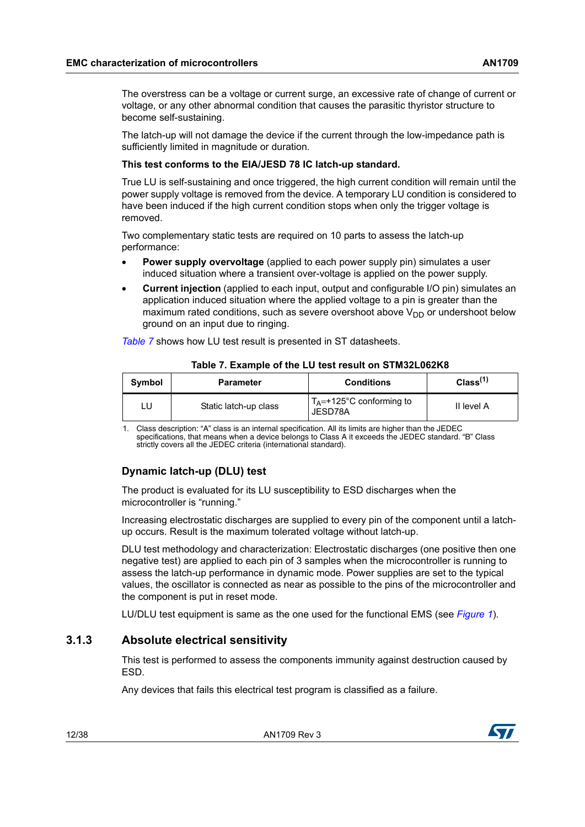The overstress can be a voltage or current surge, an excessive rate of change of current or voltage, or any other abnormal condition that causes the parasitic thyristor structure to become self-sustaining.

The latch-up will not damage the device if the current through the low-impedance path is sufficiently limited in magnitude or duration.

#### **This test conforms to the EIA/JESD 78 IC latch-up standard.**

True LU is self-sustaining and once triggered, the high current condition will remain until the power supply voltage is removed from the device. A temporary LU condition is considered to have been induced if the high current condition stops when only the trigger voltage is removed.

Two complementary static tests are required on 10 parts to assess the latch-up performance:

- **Power supply overvoltage** (applied to each power supply pin) simulates a user induced situation where a transient over-voltage is applied on the power supply.
- **Current injection** (applied to each input, output and configurable I/O pin) simulates an application induced situation where the applied voltage to a pin is greater than the maximum rated conditions, such as severe overshoot above  $V_{DD}$  or undershoot below ground on an input due to ringing.

*[Table](#page-11-1) 7* shows how LU test result is presented in ST datasheets.

<span id="page-11-1"></span>

| Symbol | <b>Parameter</b>      | <b>Conditions</b>                               | Class <sup>(1)</sup> |
|--------|-----------------------|-------------------------------------------------|----------------------|
|        | Static latch-up class | $T_A = +125^{\circ}$ C conforming to<br>JESD78A | II level A           |

**Table 7. Example of the LU test result on STM32L062K8**

1. Class description: "A" class is an internal specification. All its limits are higher than the JEDEC specifications, that means when a device belongs to Class A it exceeds the JEDEC standard. "B" Class strictly covers all the JEDEC criteria (international standard).

### **Dynamic latch-up (DLU) test**

The product is evaluated for its LU susceptibility to ESD discharges when the microcontroller is "running."

Increasing electrostatic discharges are supplied to every pin of the component until a latchup occurs. Result is the maximum tolerated voltage without latch-up.

DLU test methodology and characterization: Electrostatic discharges (one positive then one negative test) are applied to each pin of 3 samples when the microcontroller is running to assess the latch-up performance in dynamic mode. Power supplies are set to the typical values, the oscillator is connected as near as possible to the pins of the microcontroller and the component is put in reset mode.

LU/DLU test equipment is same as the one used for the functional EMS (see *[Figure](#page-7-0) 1*).

### <span id="page-11-0"></span>**3.1.3 Absolute electrical sensitivity**

This test is performed to assess the components immunity against destruction caused by ESD.

Any devices that fails this electrical test program is classified as a failure.

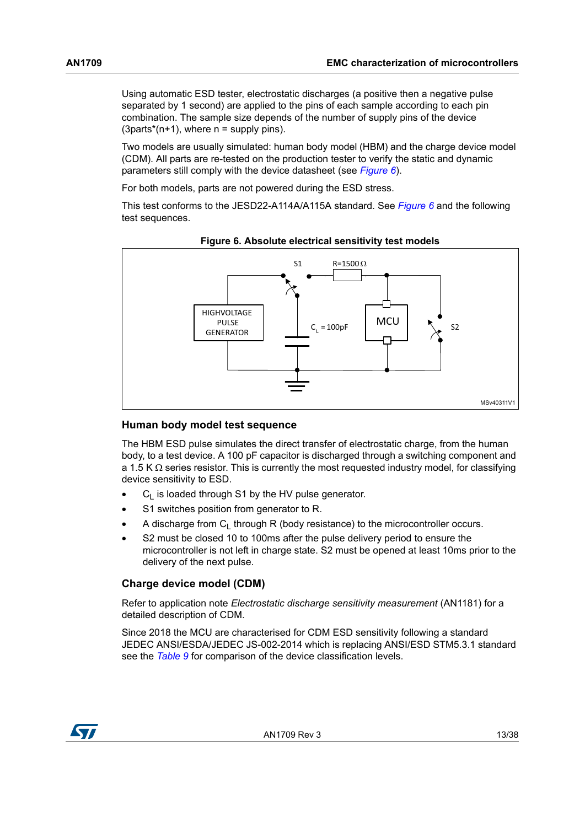Using automatic ESD tester, electrostatic discharges (a positive then a negative pulse separated by 1 second) are applied to the pins of each sample according to each pin combination. The sample size depends of the number of supply pins of the device  $(3$ parts<sup>\*</sup>(n+1), where  $n =$  supply pins).

Two models are usually simulated: human body model (HBM) and the charge device model (CDM). All parts are re-tested on the production tester to verify the static and dynamic parameters still comply with the device datasheet (see *[Figure](#page-12-0) 6*).

For both models, parts are not powered during the ESD stress.

This test conforms to the JESD22-A114A/A115A standard. See *[Figure](#page-12-0) 6* and the following test sequences.

<span id="page-12-0"></span>

#### **Figure 6. Absolute electrical sensitivity test models**

#### **Human body model test sequence**

The HBM ESD pulse simulates the direct transfer of electrostatic charge, from the human body, to a test device. A 100 pF capacitor is discharged through a switching component and a 1.5 K  $\Omega$  series resistor. This is currently the most requested industry model, for classifying device sensitivity to ESD.

- $C_1$  is loaded through S1 by the HV pulse generator.
- S1 switches position from generator to R.
- A discharge from  $C_1$  through R (body resistance) to the microcontroller occurs.
- S2 must be closed 10 to 100ms after the pulse delivery period to ensure the microcontroller is not left in charge state. S2 must be opened at least 10ms prior to the delivery of the next pulse.

#### <span id="page-12-1"></span>**Charge device model (CDM)**

Refer to application note *Electrostatic discharge sensitivity measurement* (AN1181) for a detailed description of CDM.

Since 2018 the MCU are characterised for CDM ESD sensitivity following a standard JEDEC ANSI/ESDA/JEDEC JS-002-2014 which is replacing ANSI/ESD STM5.3.1 standard see the *[Table](#page-13-3) 9* for comparison of the device classification levels.

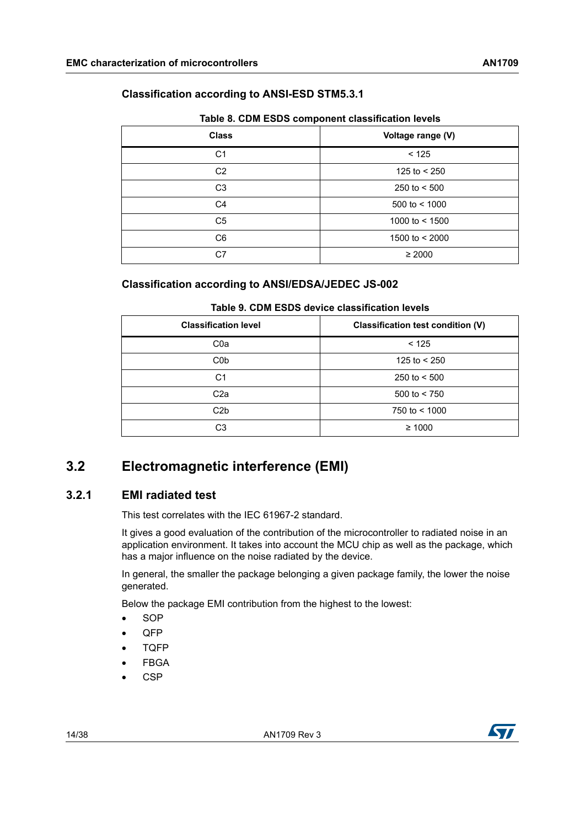### **Classification according to ANSI-ESD STM5.3.1**

<span id="page-13-2"></span>

| <b>Class</b>   | Voltage range (V) |  |
|----------------|-------------------|--|
| C <sub>1</sub> | < 125             |  |
| C <sub>2</sub> | 125 to $<$ 250    |  |
| C <sub>3</sub> | 250 to $< 500$    |  |
| C <sub>4</sub> | 500 to $<$ 1000   |  |
| C <sub>5</sub> | 1000 to $<$ 1500  |  |
| C <sub>6</sub> | 1500 to < 2000    |  |
| C7             | $\geq 2000$       |  |

#### **Table 8. CDM ESDS component classification levels**

### **Classification according to ANSI/EDSA/JEDEC JS-002**

<span id="page-13-3"></span>

| <b>Classification level</b> | Classification test condition (V)                  |  |  |
|-----------------------------|----------------------------------------------------|--|--|
| C <sub>0</sub> a            | < 125                                              |  |  |
| C <sub>0</sub> p            | 125 to $<$ 250<br>250 to $< 500$<br>500 to $< 750$ |  |  |
| C1                          |                                                    |  |  |
| C <sub>2</sub> a            |                                                    |  |  |
| C2b                         | 750 to $<$ 1000                                    |  |  |
| C3                          | $\geq 1000$                                        |  |  |

### **Table 9. CDM ESDS device classification levels**

# <span id="page-13-0"></span>**3.2 Electromagnetic interference (EMI)**

## <span id="page-13-1"></span>**3.2.1 EMI radiated test**

This test correlates with the IEC 61967-2 standard.

It gives a good evaluation of the contribution of the microcontroller to radiated noise in an application environment. It takes into account the MCU chip as well as the package, which has a major influence on the noise radiated by the device.

In general, the smaller the package belonging a given package family, the lower the noise generated.

Below the package EMI contribution from the highest to the lowest:

- SOP
- QFP
- TQFP
- FBGA
- CSP

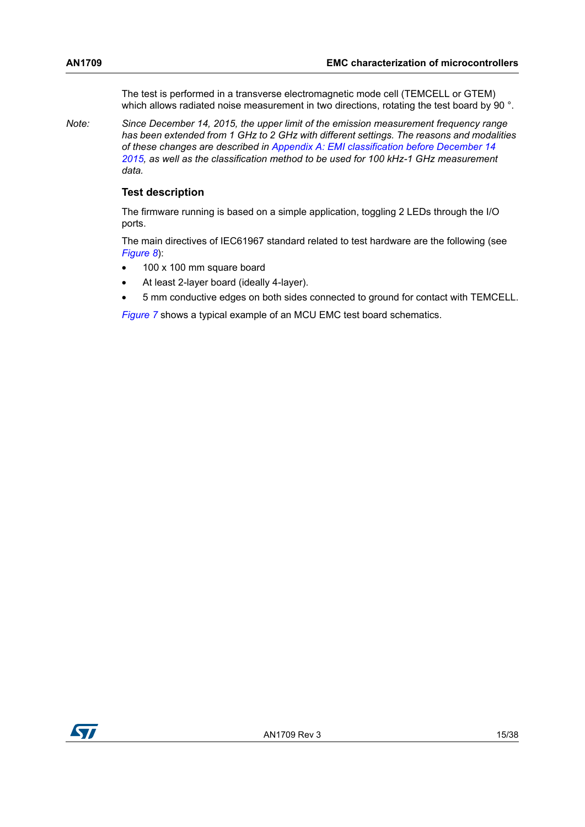The test is performed in a transverse electromagnetic mode cell (TEMCELL or GTEM) which allows radiated noise measurement in two directions, rotating the test board by 90 °.

*Note: Since December 14, 2015, the upper limit of the emission measurement frequency range has been extended from 1 GHz to 2 GHz with different settings. The reasons and modalities of these changes are described in [Appendix A: EMI classification before December 14](#page-34-0)  [2015](#page-34-0), as well as the classification method to be used for 100 kHz-1 GHz measurement data.*

#### **Test description**

The firmware running is based on a simple application, toggling 2 LEDs through the I/O ports.

The main directives of IEC61967 standard related to test hardware are the following (see *[Figure](#page-16-0) 8*):

- 100 x 100 mm square board
- At least 2-layer board (ideally 4-layer).
- 5 mm conductive edges on both sides connected to ground for contact with TEMCELL.

*[Figure](#page-15-0) 7* shows a typical example of an MCU EMC test board schematics.

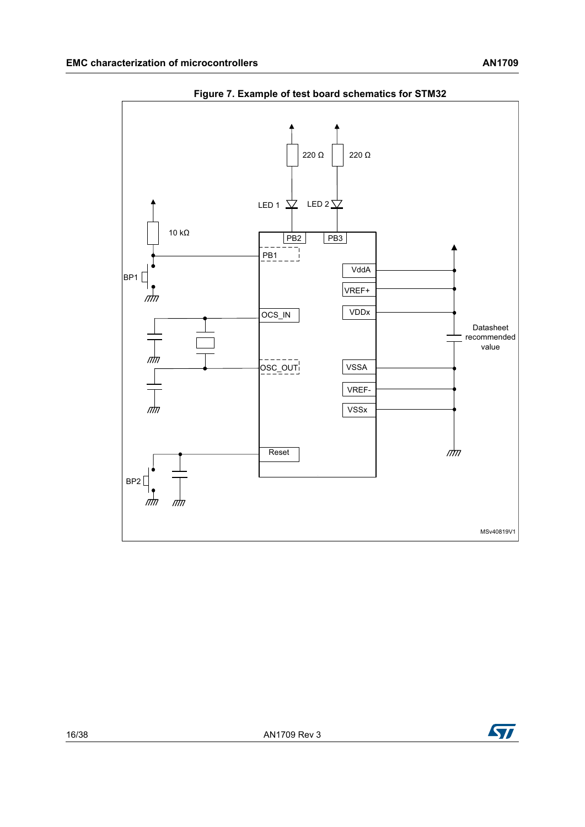<span id="page-15-0"></span>

**Figure 7. Example of test board schematics for STM32**

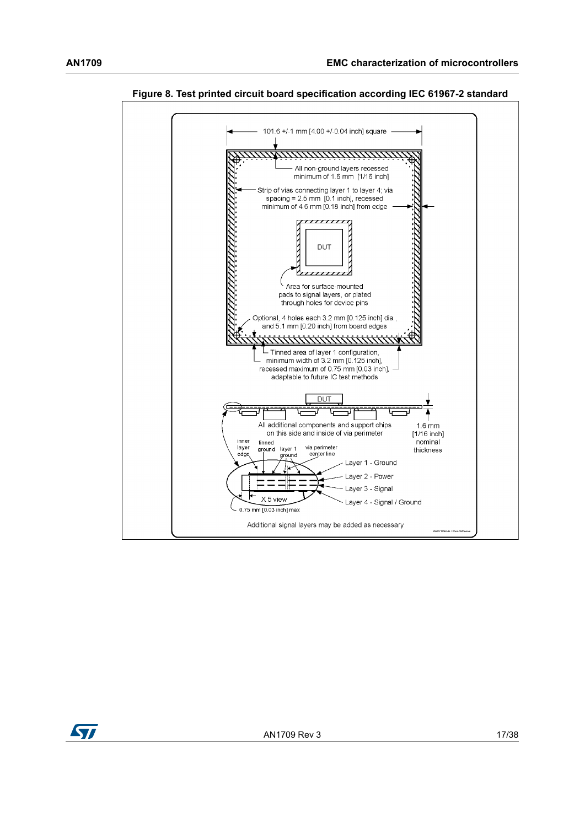



<span id="page-16-0"></span>**Figure 8. Test printed circuit board specification according IEC 61967-2 standard**

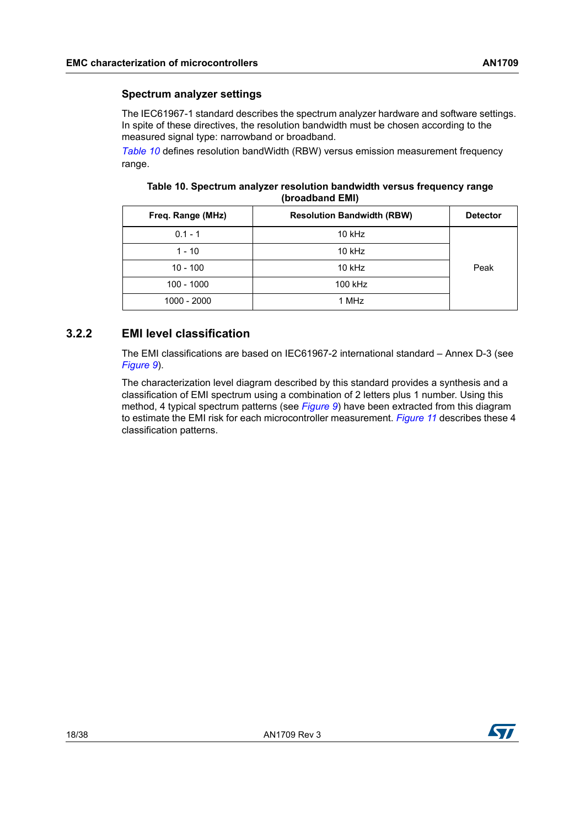#### **Spectrum analyzer settings**

The IEC61967-1 standard describes the spectrum analyzer hardware and software settings. In spite of these directives, the resolution bandwidth must be chosen according to the measured signal type: narrowband or broadband.

*[Table 10](#page-17-1)* defines resolution bandWidth (RBW) versus emission measurement frequency range.

#### <span id="page-17-1"></span>**Table 10. Spectrum analyzer resolution bandwidth versus frequency range (broadband EMI)**

| Freq. Range (MHz) | <b>Resolution Bandwidth (RBW)</b> |      |
|-------------------|-----------------------------------|------|
| $0.1 - 1$         | $10$ kHz                          |      |
| $1 - 10$          | $10$ kHz                          |      |
| $10 - 100$        | $10$ kHz                          | Peak |
| $100 - 1000$      | 100 kHz                           |      |
| 1000 - 2000       | 1 MHz                             |      |

## <span id="page-17-0"></span>**3.2.2 EMI level classification**

The EMI classifications are based on IEC61967-2 international standard – Annex D-3 (see *[Figure](#page-18-0) 9*).

The characterization level diagram described by this standard provides a synthesis and a classification of EMI spectrum using a combination of 2 letters plus 1 number. Using this method, 4 typical spectrum patterns (see *[Figure](#page-18-0) 9*) have been extracted from this diagram to estimate the EMI risk for each microcontroller measurement. *[Figure](#page-20-3) 11* describes these 4 classification patterns.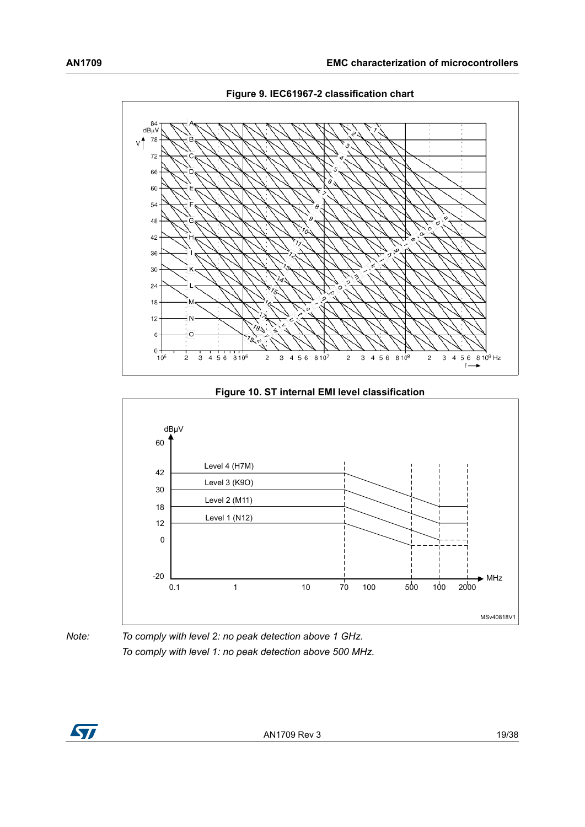<span id="page-18-0"></span>

**Figure 9. IEC61967-2 classification chart**

**Figure 10. ST internal EMI level classification**

<span id="page-18-1"></span>



*Note: To comply with level 2: no peak detection above 1 GHz. To comply with level 1: no peak detection above 500 MHz.*

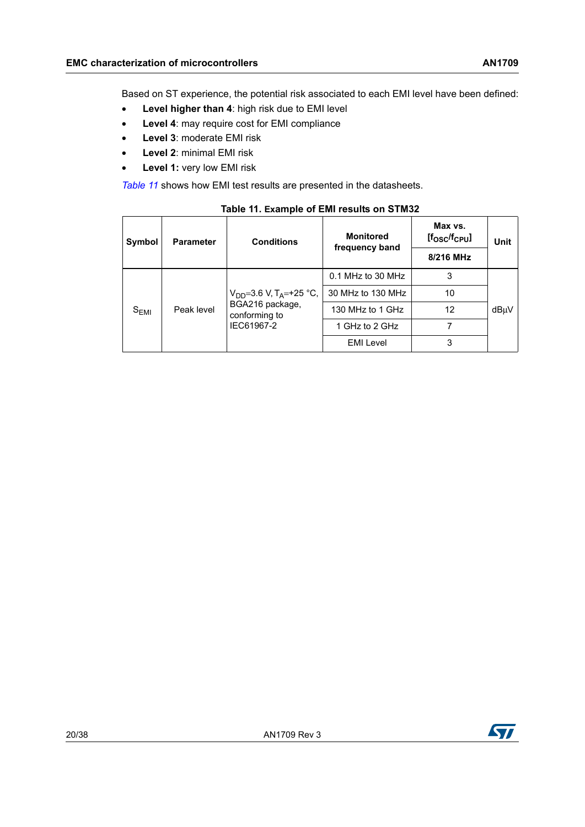Based on ST experience, the potential risk associated to each EMI level have been defined:

- **Level higher than 4**: high risk due to EMI level
- **Level 4**: may require cost for EMI compliance
- **Level 3**: moderate EMI risk
- **Level 2**: minimal EMI risk
- **Level 1:** very low EMI risk

*[Table](#page-19-0) 11* shows how EMI test results are presented in the datasheets.

<span id="page-19-0"></span>

| Symbol    | <b>Parameter</b> | <b>Conditions</b>                                                                             | <b>Monitored</b><br>frequency band | Max vs.<br>$[$ fosc $/$ fc $_{\rm{Pul}}$ | Unit |
|-----------|------------------|-----------------------------------------------------------------------------------------------|------------------------------------|------------------------------------------|------|
|           |                  |                                                                                               |                                    | 8/216 MHz                                |      |
| $S_{EMI}$ |                  | $V_{DD} = 3.6 V$ , T <sub>A</sub> = +25 °C,<br>BGA216 package,<br>conforming to<br>IEC61967-2 | 0.1 MHz to 30 MHz                  | 3                                        |      |
|           |                  |                                                                                               | 30 MHz to 130 MHz                  | 10                                       |      |
|           | Peak level       |                                                                                               | 130 MHz to 1 GHz                   | 12                                       | dBµV |
|           |                  |                                                                                               | 1 GHz to 2 GHz                     |                                          |      |
|           |                  |                                                                                               | <b>EMI Level</b>                   | 3                                        |      |

**Table 11. Example of EMI results on STM32**

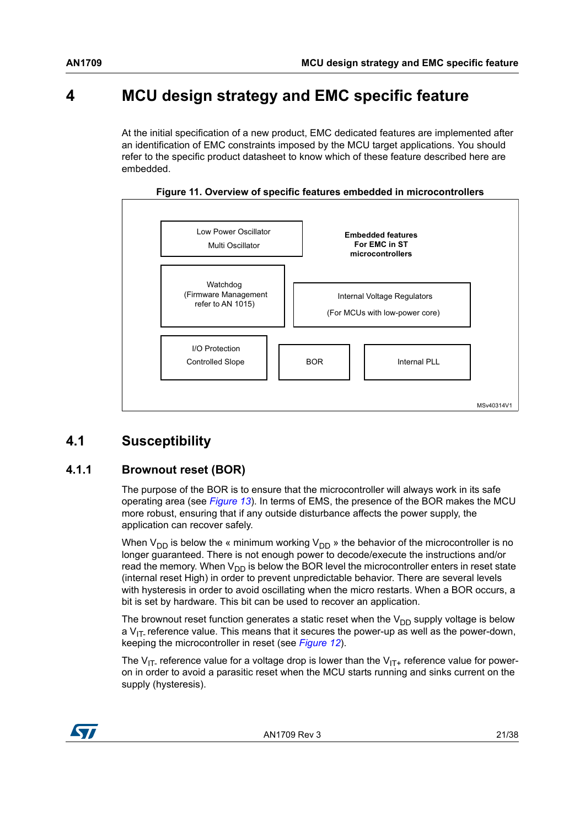# <span id="page-20-0"></span>**4 MCU design strategy and EMC specific feature**

At the initial specification of a new product, EMC dedicated features are implemented after an identification of EMC constraints imposed by the MCU target applications. You should refer to the specific product datasheet to know which of these feature described here are embedded.

<span id="page-20-3"></span>

**Figure 11. Overview of specific features embedded in microcontrollers**

# <span id="page-20-1"></span>**4.1 Susceptibility**

# <span id="page-20-2"></span>**4.1.1 Brownout reset (BOR)**

The purpose of the BOR is to ensure that the microcontroller will always work in its safe operating area (see *[Figure](#page-22-0) 13*). In terms of EMS, the presence of the BOR makes the MCU more robust, ensuring that if any outside disturbance affects the power supply, the application can recover safely.

When  $V_{DD}$  is below the « minimum working  $V_{DD}$  » the behavior of the microcontroller is no longer guaranteed. There is not enough power to decode/execute the instructions and/or read the memory. When  $V_{DD}$  is below the BOR level the microcontroller enters in reset state (internal reset High) in order to prevent unpredictable behavior. There are several levels with hysteresis in order to avoid oscillating when the micro restarts. When a BOR occurs, a bit is set by hardware. This bit can be used to recover an application.

The brownout reset function generates a static reset when the  $V_{DD}$  supply voltage is below a  $V_{IT}$  reference value. This means that it secures the power-up as well as the power-down, keeping the microcontroller in reset (see *[Figure](#page-21-1) 12*).

The V<sub>IT-</sub> reference value for a voltage drop is lower than the V<sub>IT+</sub> reference value for poweron in order to avoid a parasitic reset when the MCU starts running and sinks current on the supply (hysteresis).

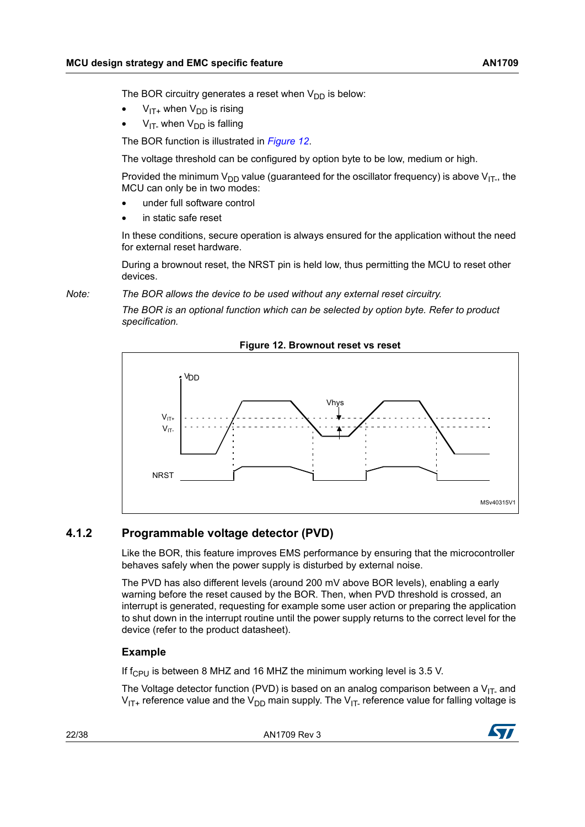The BOR circuitry generates a reset when  $V_{DD}$  is below:

- $V_{IT+}$  when  $V_{DD}$  is rising
- $V_{IT}$  when  $V_{DD}$  is falling

The BOR function is illustrated in *[Figure](#page-21-1) 12*.

The voltage threshold can be configured by option byte to be low, medium or high.

Provided the minimum  $V_{DD}$  value (guaranteed for the oscillator frequency) is above  $V_{IT}$ , the MCU can only be in two modes:

- under full software control
- in static safe reset

In these conditions, secure operation is always ensured for the application without the need for external reset hardware.

During a brownout reset, the NRST pin is held low, thus permitting the MCU to reset other devices.

*Note: The BOR allows the device to be used without any external reset circuitry.*

*The BOR is an optional function which can be selected by option byte. Refer to product specification.*

<span id="page-21-1"></span>

**Figure 12. Brownout reset vs reset** 

## <span id="page-21-0"></span>**4.1.2 Programmable voltage detector (PVD)**

Like the BOR, this feature improves EMS performance by ensuring that the microcontroller behaves safely when the power supply is disturbed by external noise.

The PVD has also different levels (around 200 mV above BOR levels), enabling a early warning before the reset caused by the BOR. Then, when PVD threshold is crossed, an interrupt is generated, requesting for example some user action or preparing the application to shut down in the interrupt routine until the power supply returns to the correct level for the device (refer to the product datasheet).

#### **Example**

If  $f_{\text{CPI}}$  is between 8 MHZ and 16 MHZ the minimum working level is 3.5 V.

The Voltage detector function (PVD) is based on an analog comparison between a  $V_{IT}$  and  $V_{IT+}$  reference value and the  $V_{DD}$  main supply. The  $V_{IT-}$  reference value for falling voltage is

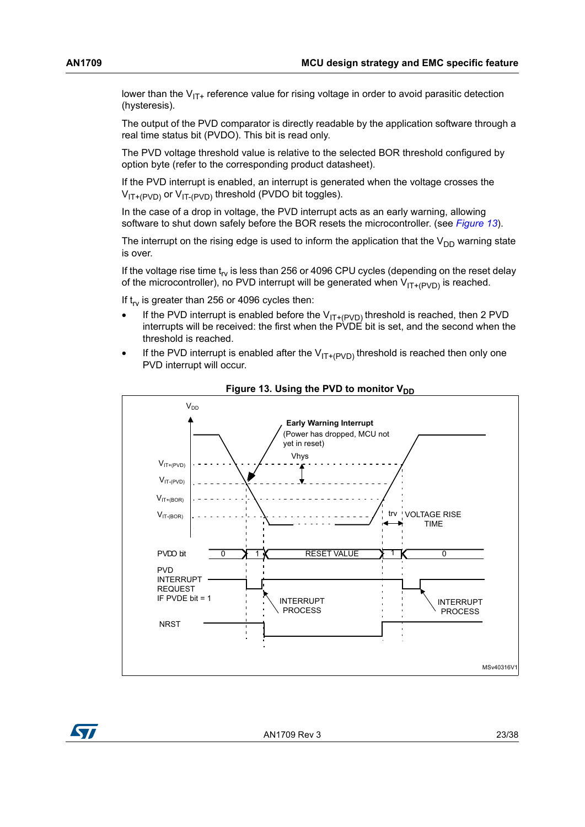lower than the  $V_{IT+}$  reference value for rising voltage in order to avoid parasitic detection (hysteresis).

The output of the PVD comparator is directly readable by the application software through a real time status bit (PVDO). This bit is read only.

The PVD voltage threshold value is relative to the selected BOR threshold configured by option byte (refer to the corresponding product datasheet).

If the PVD interrupt is enabled, an interrupt is generated when the voltage crosses the  $V_{IT+(PVD)}$  or  $V_{IT-(PVD)}$  threshold (PVDO bit toggles).

In the case of a drop in voltage, the PVD interrupt acts as an early warning, allowing software to shut down safely before the BOR resets the microcontroller. (see *[Figure](#page-22-0) 13*).

The interrupt on the rising edge is used to inform the application that the  $V_{DD}$  warning state is over.

If the voltage rise time  $t_{rv}$  is less than 256 or 4096 CPU cycles (depending on the reset delay of the microcontroller), no PVD interrupt will be generated when  $V_{IT+(PVD)}$  is reached.

If  $t_{rv}$  is greater than 256 or 4096 cycles then:

- If the PVD interrupt is enabled before the  $V_{IT+(PVD)}$  threshold is reached, then 2 PVD interrupts will be received: the first when the PVDE bit is set, and the second when the threshold is reached.
- If the PVD interrupt is enabled after the  $V_{IT+(PVD)}$  threshold is reached then only one PVD interrupt will occur.

<span id="page-22-0"></span>



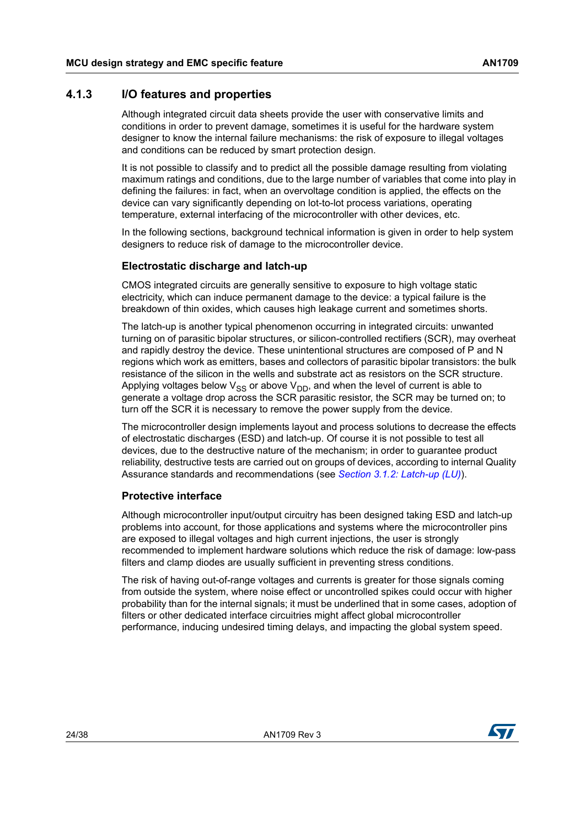### <span id="page-23-0"></span>**4.1.3 I/O features and properties**

Although integrated circuit data sheets provide the user with conservative limits and conditions in order to prevent damage, sometimes it is useful for the hardware system designer to know the internal failure mechanisms: the risk of exposure to illegal voltages and conditions can be reduced by smart protection design.

It is not possible to classify and to predict all the possible damage resulting from violating maximum ratings and conditions, due to the large number of variables that come into play in defining the failures: in fact, when an overvoltage condition is applied, the effects on the device can vary significantly depending on lot-to-lot process variations, operating temperature, external interfacing of the microcontroller with other devices, etc.

In the following sections, background technical information is given in order to help system designers to reduce risk of damage to the microcontroller device.

### **Electrostatic discharge and latch-up**

CMOS integrated circuits are generally sensitive to exposure to high voltage static electricity, which can induce permanent damage to the device: a typical failure is the breakdown of thin oxides, which causes high leakage current and sometimes shorts.

The latch-up is another typical phenomenon occurring in integrated circuits: unwanted turning on of parasitic bipolar structures, or silicon-controlled rectifiers (SCR), may overheat and rapidly destroy the device. These unintentional structures are composed of P and N regions which work as emitters, bases and collectors of parasitic bipolar transistors: the bulk resistance of the silicon in the wells and substrate act as resistors on the SCR structure. Applying voltages below  $V_{SS}$  or above  $V_{DD}$ , and when the level of current is able to generate a voltage drop across the SCR parasitic resistor, the SCR may be turned on; to turn off the SCR it is necessary to remove the power supply from the device.

The microcontroller design implements layout and process solutions to decrease the effects of electrostatic discharges (ESD) and latch-up. Of course it is not possible to test all devices, due to the destructive nature of the mechanism; in order to guarantee product reliability, destructive tests are carried out on groups of devices, according to internal Quality Assurance standards and recommendations (see *Section [3.1.2: Latch-up \(LU\)](#page-10-0)*).

#### **Protective interface**

Although microcontroller input/output circuitry has been designed taking ESD and latch-up problems into account, for those applications and systems where the microcontroller pins are exposed to illegal voltages and high current injections, the user is strongly recommended to implement hardware solutions which reduce the risk of damage: low-pass filters and clamp diodes are usually sufficient in preventing stress conditions.

The risk of having out-of-range voltages and currents is greater for those signals coming from outside the system, where noise effect or uncontrolled spikes could occur with higher probability than for the internal signals; it must be underlined that in some cases, adoption of filters or other dedicated interface circuitries might affect global microcontroller performance, inducing undesired timing delays, and impacting the global system speed.

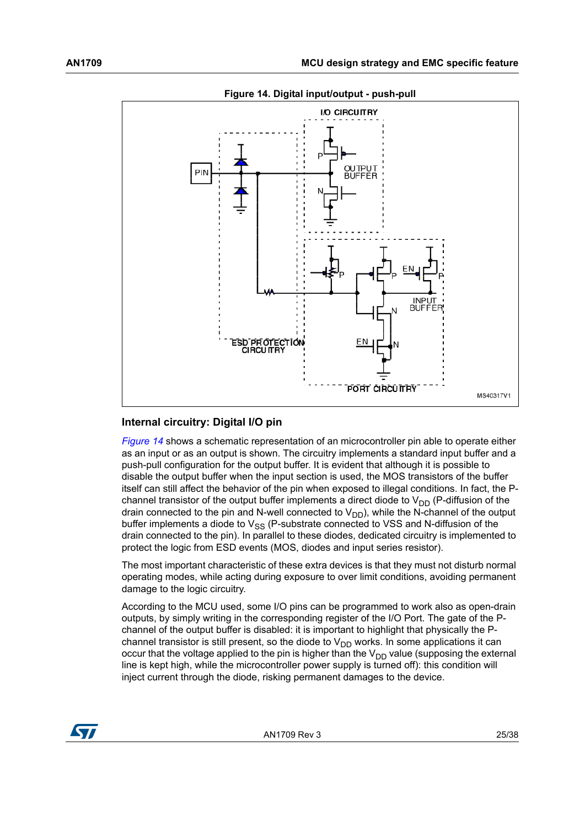<span id="page-24-0"></span>

#### **Figure 14. Digital input/output - push-pull**

#### **Internal circuitry: Digital I/O pin**

*[Figure](#page-24-0) 14* shows a schematic representation of an microcontroller pin able to operate either as an input or as an output is shown. The circuitry implements a standard input buffer and a push-pull configuration for the output buffer. It is evident that although it is possible to disable the output buffer when the input section is used, the MOS transistors of the buffer itself can still affect the behavior of the pin when exposed to illegal conditions. In fact, the Pchannel transistor of the output buffer implements a direct diode to  $V_{DD}$  (P-diffusion of the drain connected to the pin and N-well connected to  $V_{DD}$ ), while the N-channel of the output buffer implements a diode to  $V_{SS}$  (P-substrate connected to VSS and N-diffusion of the drain connected to the pin). In parallel to these diodes, dedicated circuitry is implemented to protect the logic from ESD events (MOS, diodes and input series resistor).

The most important characteristic of these extra devices is that they must not disturb normal operating modes, while acting during exposure to over limit conditions, avoiding permanent damage to the logic circuitry.

According to the MCU used, some I/O pins can be programmed to work also as open-drain outputs, by simply writing in the corresponding register of the I/O Port. The gate of the Pchannel of the output buffer is disabled: it is important to highlight that physically the Pchannel transistor is still present, so the diode to  $V_{DD}$  works. In some applications it can occur that the voltage applied to the pin is higher than the  $V_{DD}$  value (supposing the external line is kept high, while the microcontroller power supply is turned off): this condition will inject current through the diode, risking permanent damages to the device.

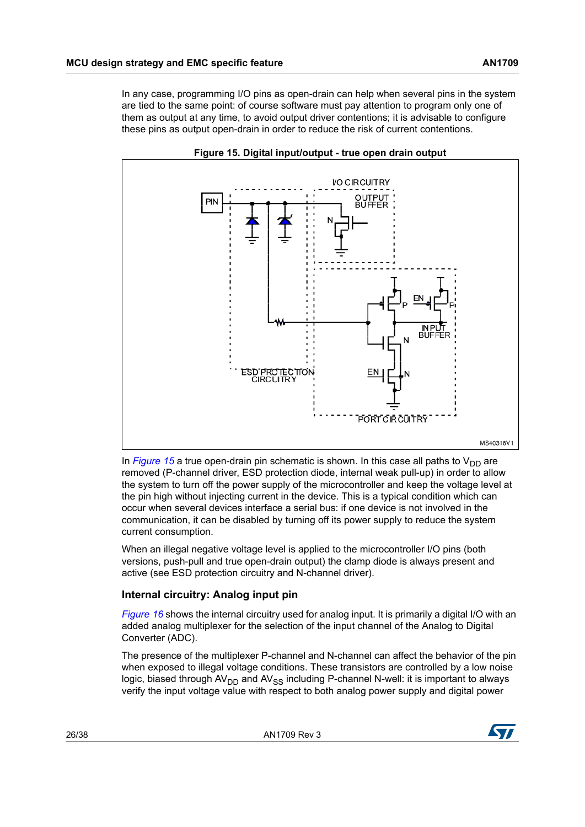In any case, programming I/O pins as open-drain can help when several pins in the system are tied to the same point: of course software must pay attention to program only one of them as output at any time, to avoid output driver contentions; it is advisable to configure these pins as output open-drain in order to reduce the risk of current contentions.

<span id="page-25-0"></span>

**Figure 15. Digital input/output - true open drain output**

In *[Figure](#page-25-0)* 15 a true open-drain pin schematic is shown. In this case all paths to  $V_{DD}$  are removed (P-channel driver, ESD protection diode, internal weak pull-up) in order to allow the system to turn off the power supply of the microcontroller and keep the voltage level at the pin high without injecting current in the device. This is a typical condition which can occur when several devices interface a serial bus: if one device is not involved in the communication, it can be disabled by turning off its power supply to reduce the system current consumption.

When an illegal negative voltage level is applied to the microcontroller I/O pins (both versions, push-pull and true open-drain output) the clamp diode is always present and active (see ESD protection circuitry and N-channel driver).

### **Internal circuitry: Analog input pin**

*[Figure](#page-26-2) 16* shows the internal circuitry used for analog input. It is primarily a digital I/O with an added analog multiplexer for the selection of the input channel of the Analog to Digital Converter (ADC).

The presence of the multiplexer P-channel and N-channel can affect the behavior of the pin when exposed to illegal voltage conditions. These transistors are controlled by a low noise logic, biased through  $AV<sub>DD</sub>$  and  $AV<sub>SS</sub>$  including P-channel N-well: it is important to always verify the input voltage value with respect to both analog power supply and digital power

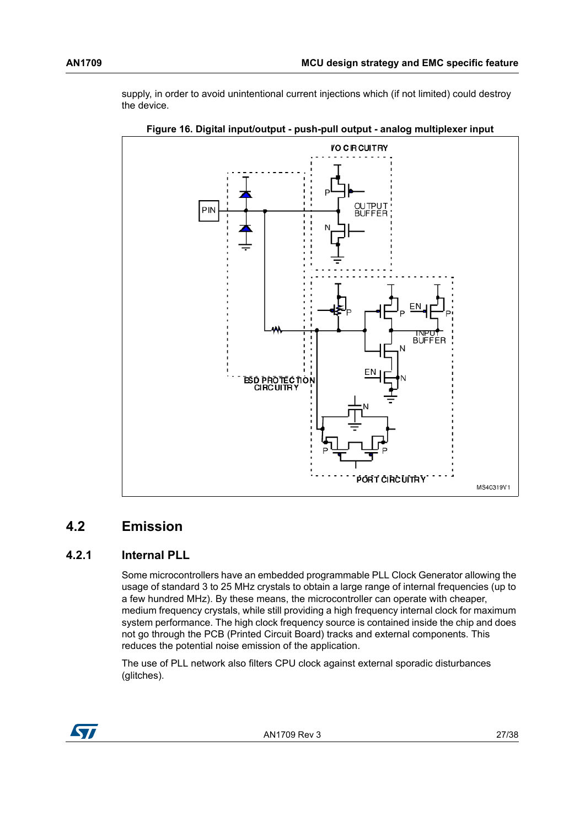supply, in order to avoid unintentional current injections which (if not limited) could destroy the device.

<span id="page-26-2"></span>

**Figure 16. Digital input/output - push-pull output - analog multiplexer input**

# <span id="page-26-0"></span>**4.2 Emission**

## <span id="page-26-1"></span>**4.2.1 Internal PLL**

Some microcontrollers have an embedded programmable PLL Clock Generator allowing the usage of standard 3 to 25 MHz crystals to obtain a large range of internal frequencies (up to a few hundred MHz). By these means, the microcontroller can operate with cheaper, medium frequency crystals, while still providing a high frequency internal clock for maximum system performance. The high clock frequency source is contained inside the chip and does not go through the PCB (Printed Circuit Board) tracks and external components. This reduces the potential noise emission of the application.

The use of PLL network also filters CPU clock against external sporadic disturbances (glitches).

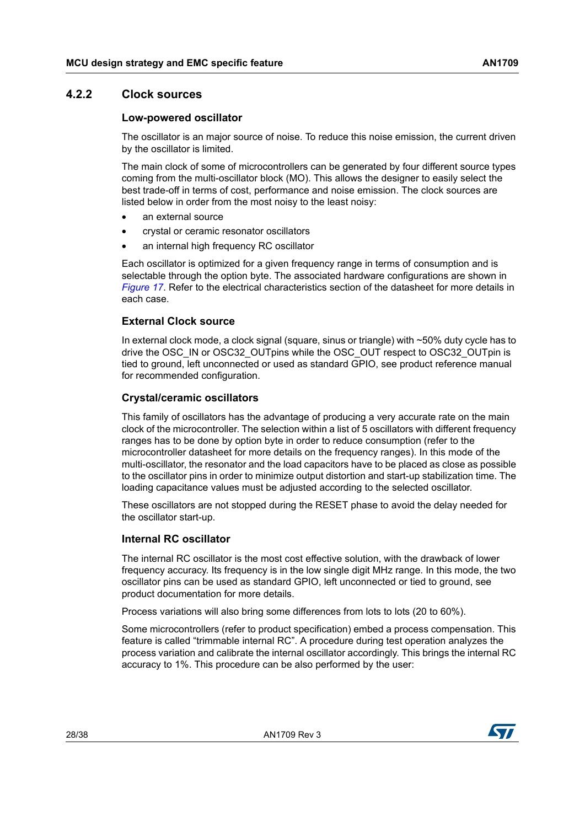### <span id="page-27-0"></span>**4.2.2 Clock sources**

#### **Low-powered oscillator**

The oscillator is an major source of noise. To reduce this noise emission, the current driven by the oscillator is limited.

The main clock of some of microcontrollers can be generated by four different source types coming from the multi-oscillator block (MO). This allows the designer to easily select the best trade-off in terms of cost, performance and noise emission. The clock sources are listed below in order from the most noisy to the least noisy:

- an external source
- crystal or ceramic resonator oscillators
- an internal high frequency RC oscillator

Each oscillator is optimized for a given frequency range in terms of consumption and is selectable through the option byte. The associated hardware configurations are shown in *[Figure](#page-28-1) 17*. Refer to the electrical characteristics section of the datasheet for more details in each case.

### <span id="page-27-2"></span>**External Clock source**

In external clock mode, a clock signal (square, sinus or triangle) with ~50% duty cycle has to drive the OSC\_IN or OSC32\_OUTpins while the OSC\_OUT respect to OSC32\_OUTpin is tied to ground, left unconnected or used as standard GPIO, see product reference manual for recommended configuration.

#### **Crystal/ceramic oscillators**

This family of oscillators has the advantage of producing a very accurate rate on the main clock of the microcontroller. The selection within a list of 5 oscillators with different frequency ranges has to be done by option byte in order to reduce consumption (refer to the microcontroller datasheet for more details on the frequency ranges). In this mode of the multi-oscillator, the resonator and the load capacitors have to be placed as close as possible to the oscillator pins in order to minimize output distortion and start-up stabilization time. The loading capacitance values must be adjusted according to the selected oscillator.

These oscillators are not stopped during the RESET phase to avoid the delay needed for the oscillator start-up.

#### <span id="page-27-1"></span>**Internal RC oscillator**

The internal RC oscillator is the most cost effective solution, with the drawback of lower frequency accuracy. Its frequency is in the low single digit MHz range. In this mode, the two oscillator pins can be used as standard GPIO, left unconnected or tied to ground, see product documentation for more details.

Process variations will also bring some differences from lots to lots (20 to 60%).

Some microcontrollers (refer to product specification) embed a process compensation. This feature is called "trimmable internal RC". A procedure during test operation analyzes the process variation and calibrate the internal oscillator accordingly. This brings the internal RC accuracy to 1%. This procedure can be also performed by the user:

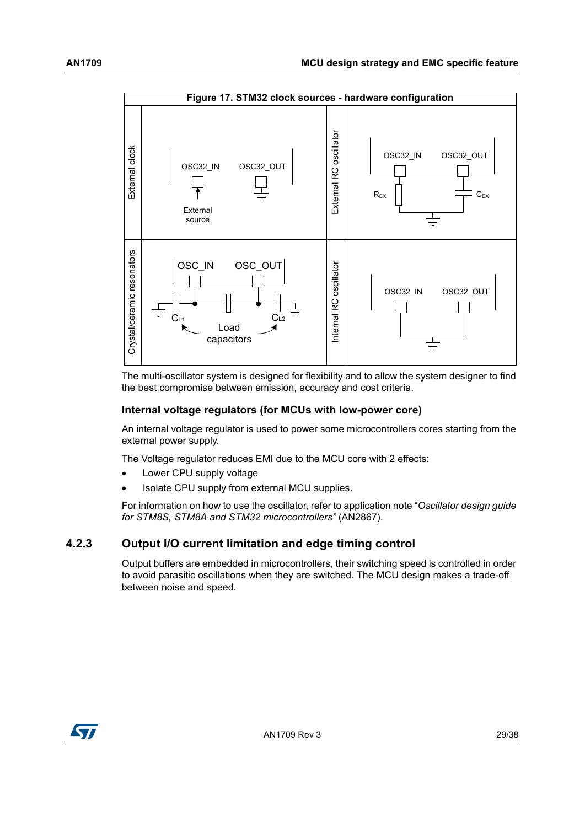<span id="page-28-1"></span>

The multi-oscillator system is designed for flexibility and to allow the system designer to find the best compromise between emission, accuracy and cost criteria.

#### <span id="page-28-2"></span>**Internal voltage regulators (for MCUs with low-power core)**

An internal voltage regulator is used to power some microcontrollers cores starting from the external power supply.

The Voltage regulator reduces EMI due to the MCU core with 2 effects:

- Lower CPU supply voltage
- Isolate CPU supply from external MCU supplies.

For information on how to use the oscillator, refer to application note "*Oscillator design guide for STM8S, STM8A and STM32 microcontrollers"* (AN2867).

#### <span id="page-28-0"></span>**4.2.3 Output I/O current limitation and edge timing control**

Output buffers are embedded in microcontrollers, their switching speed is controlled in order to avoid parasitic oscillations when they are switched. The MCU design makes a trade-off between noise and speed.

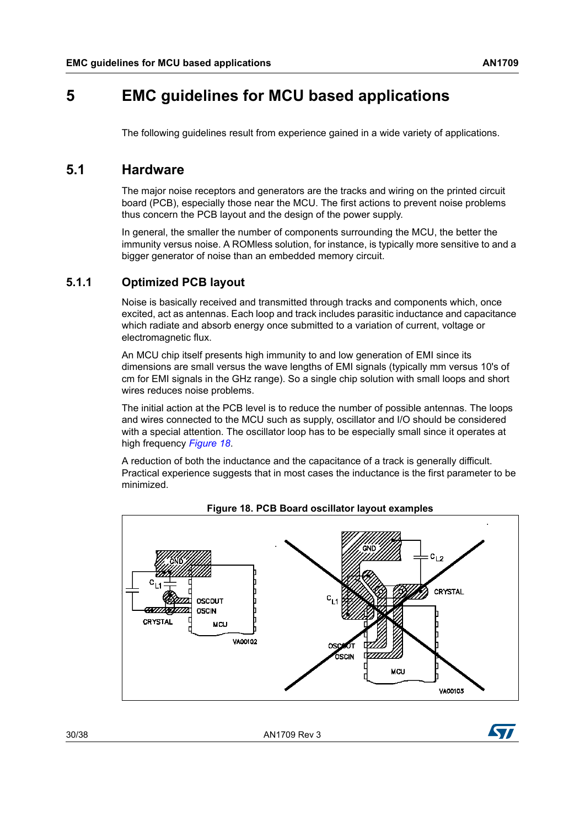# <span id="page-29-0"></span>**5 EMC guidelines for MCU based applications**

The following guidelines result from experience gained in a wide variety of applications.

# <span id="page-29-1"></span>**5.1 Hardware**

The major noise receptors and generators are the tracks and wiring on the printed circuit board (PCB), especially those near the MCU. The first actions to prevent noise problems thus concern the PCB layout and the design of the power supply.

In general, the smaller the number of components surrounding the MCU, the better the immunity versus noise. A ROMless solution, for instance, is typically more sensitive to and a bigger generator of noise than an embedded memory circuit.

### <span id="page-29-2"></span>**5.1.1 Optimized PCB layout**

Noise is basically received and transmitted through tracks and components which, once excited, act as antennas. Each loop and track includes parasitic inductance and capacitance which radiate and absorb energy once submitted to a variation of current, voltage or electromagnetic flux.

An MCU chip itself presents high immunity to and low generation of EMI since its dimensions are small versus the wave lengths of EMI signals (typically mm versus 10's of cm for EMI signals in the GHz range). So a single chip solution with small loops and short wires reduces noise problems.

The initial action at the PCB level is to reduce the number of possible antennas. The loops and wires connected to the MCU such as supply, oscillator and I/O should be considered with a special attention. The oscillator loop has to be especially small since it operates at high frequency *[Figure](#page-29-3) 18*.

A reduction of both the inductance and the capacitance of a track is generally difficult. Practical experience suggests that in most cases the inductance is the first parameter to be minimized.

<span id="page-29-3"></span>

**Figure 18. PCB Board oscillator layout examples**

30/38 AN1709 Rev 3

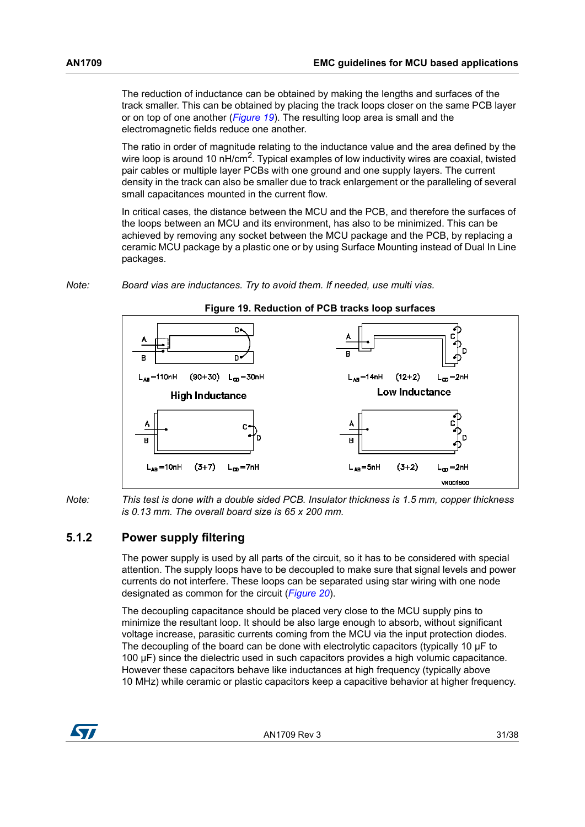The reduction of inductance can be obtained by making the lengths and surfaces of the track smaller. This can be obtained by placing the track loops closer on the same PCB layer or on top of one another (*[Figure](#page-30-1) 19*). The resulting loop area is small and the electromagnetic fields reduce one another.

The ratio in order of magnitude relating to the inductance value and the area defined by the wire loop is around 10 nH/cm<sup>2</sup>. Typical examples of low inductivity wires are coaxial, twisted pair cables or multiple layer PCBs with one ground and one supply layers. The current density in the track can also be smaller due to track enlargement or the paralleling of several small capacitances mounted in the current flow.

In critical cases, the distance between the MCU and the PCB, and therefore the surfaces of the loops between an MCU and its environment, has also to be minimized. This can be achieved by removing any socket between the MCU package and the PCB, by replacing a ceramic MCU package by a plastic one or by using Surface Mounting instead of Dual In Line packages.

#### *Note: Board vias are inductances. Try to avoid them. If needed, use multi vias.*

<span id="page-30-1"></span>

#### *Note: This test is done with a double sided PCB. Insulator thickness is 1.5 mm, copper thickness is 0.13 mm. The overall board size is 65 x 200 mm.*

### <span id="page-30-0"></span>**5.1.2 Power supply filtering**

The power supply is used by all parts of the circuit, so it has to be considered with special attention. The supply loops have to be decoupled to make sure that signal levels and power currents do not interfere. These loops can be separated using star wiring with one node designated as common for the circuit (*[Figure](#page-31-3) 20*).

The decoupling capacitance should be placed very close to the MCU supply pins to minimize the resultant loop. It should be also large enough to absorb, without significant voltage increase, parasitic currents coming from the MCU via the input protection diodes. The decoupling of the board can be done with electrolytic capacitors (typically 10 µF to 100 µF) since the dielectric used in such capacitors provides a high volumic capacitance. However these capacitors behave like inductances at high frequency (typically above 10 MHz) while ceramic or plastic capacitors keep a capacitive behavior at higher frequency.

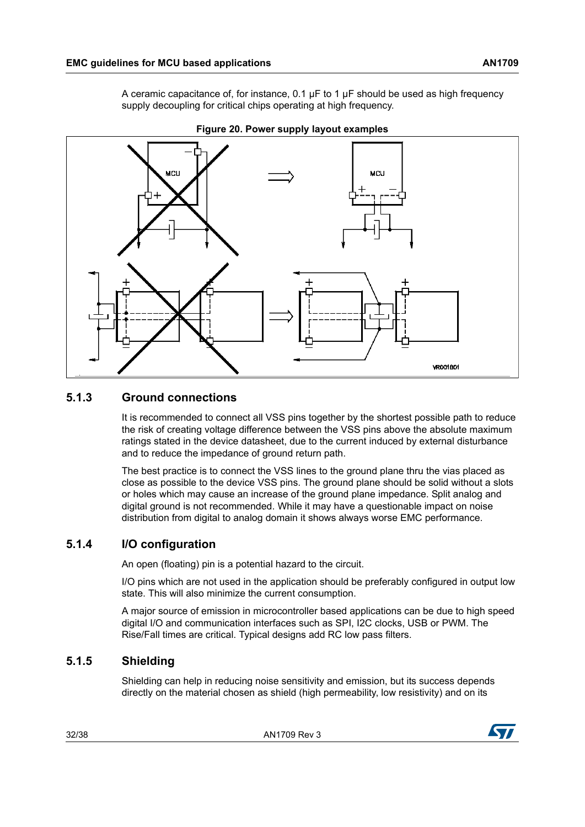A ceramic capacitance of, for instance,  $0.1 \mu F$  to 1  $\mu F$  should be used as high frequency supply decoupling for critical chips operating at high frequency.

<span id="page-31-3"></span>

**Figure 20. Power supply layout examples**

## <span id="page-31-0"></span>**5.1.3 Ground connections**

It is recommended to connect all VSS pins together by the shortest possible path to reduce the risk of creating voltage difference between the VSS pins above the absolute maximum ratings stated in the device datasheet, due to the current induced by external disturbance and to reduce the impedance of ground return path.

The best practice is to connect the VSS lines to the ground plane thru the vias placed as close as possible to the device VSS pins. The ground plane should be solid without a slots or holes which may cause an increase of the ground plane impedance. Split analog and digital ground is not recommended. While it may have a questionable impact on noise distribution from digital to analog domain it shows always worse EMC performance.

## <span id="page-31-1"></span>**5.1.4 I/O configuration**

An open (floating) pin is a potential hazard to the circuit.

I/O pins which are not used in the application should be preferably configured in output low state. This will also minimize the current consumption.

A major source of emission in microcontroller based applications can be due to high speed digital I/O and communication interfaces such as SPI, I2C clocks, USB or PWM. The Rise/Fall times are critical. Typical designs add RC low pass filters.

# <span id="page-31-2"></span>**5.1.5 Shielding**

Shielding can help in reducing noise sensitivity and emission, but its success depends directly on the material chosen as shield (high permeability, low resistivity) and on its

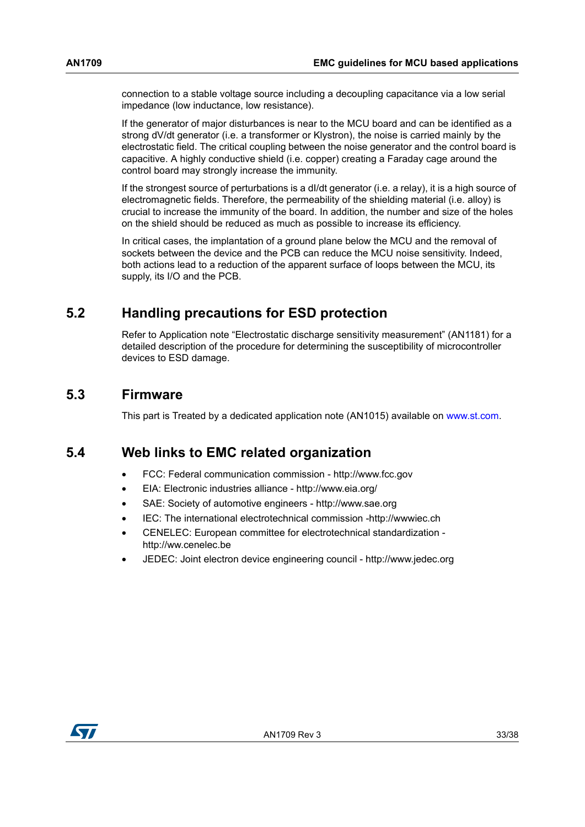connection to a stable voltage source including a decoupling capacitance via a low serial impedance (low inductance, low resistance).

If the generator of major disturbances is near to the MCU board and can be identified as a strong dV/dt generator (i.e. a transformer or Klystron), the noise is carried mainly by the electrostatic field. The critical coupling between the noise generator and the control board is capacitive. A highly conductive shield (i.e. copper) creating a Faraday cage around the control board may strongly increase the immunity.

If the strongest source of perturbations is a dI/dt generator (i.e. a relay), it is a high source of electromagnetic fields. Therefore, the permeability of the shielding material (i.e. alloy) is crucial to increase the immunity of the board. In addition, the number and size of the holes on the shield should be reduced as much as possible to increase its efficiency.

In critical cases, the implantation of a ground plane below the MCU and the removal of sockets between the device and the PCB can reduce the MCU noise sensitivity. Indeed, both actions lead to a reduction of the apparent surface of loops between the MCU, its supply, its I/O and the PCB.

# <span id="page-32-0"></span>**5.2 Handling precautions for ESD protection**

Refer to Application note "Electrostatic discharge sensitivity measurement" (AN1181) for a detailed description of the procedure for determining the susceptibility of microcontroller devices to ESD damage.

# <span id="page-32-1"></span>**5.3 Firmware**

This part is Treated by a dedicated application note (AN1015) available on www.st.com.

# <span id="page-32-2"></span>**5.4 Web links to EMC related organization**

- FCC: Federal communication commission http://www.fcc.gov
- EIA: Electronic industries alliance http://www.eia.org/
- SAE: Society of automotive engineers http://www.sae.org
- IEC: The international electrotechnical commission -http://wwwiec.ch
- CENELEC: European committee for electrotechnical standardization http://ww.cenelec.be
- JEDEC: Joint electron device engineering council http://www.jedec.org

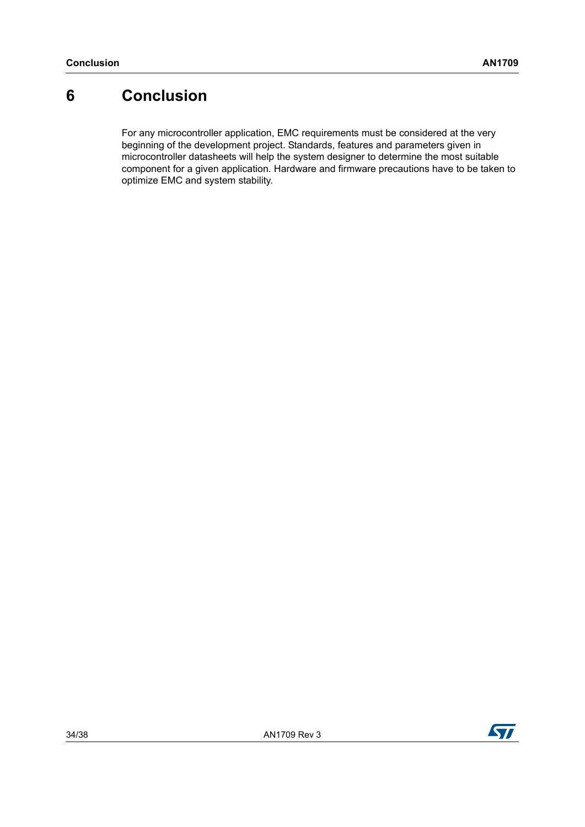# <span id="page-33-0"></span>**6 Conclusion**

For any microcontroller application, EMC requirements must be considered at the very beginning of the development project. Standards, features and parameters given in microcontroller datasheets will help the system designer to determine the most suitable component for a given application. Hardware and firmware precautions have to be taken to optimize EMC and system stability.

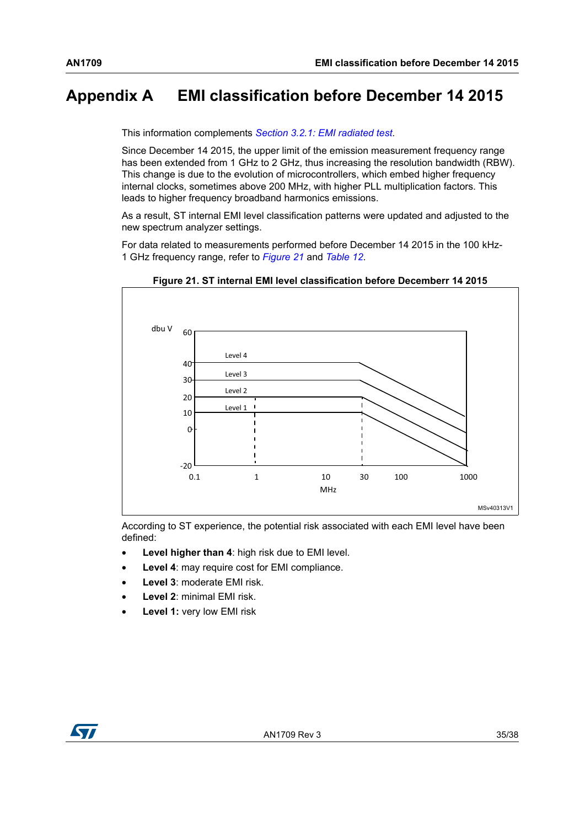# <span id="page-34-0"></span>**Appendix A EMI classification before December 14 2015**

This information complements *Section [3.2.1: EMI radiated test](#page-13-1)*.

Since December 14 2015, the upper limit of the emission measurement frequency range has been extended from 1 GHz to 2 GHz, thus increasing the resolution bandwidth (RBW). This change is due to the evolution of microcontrollers, which embed higher frequency internal clocks, sometimes above 200 MHz, with higher PLL multiplication factors. This leads to higher frequency broadband harmonics emissions.

As a result, ST internal EMI level classification patterns were updated and adjusted to the new spectrum analyzer settings.

For data related to measurements performed before December 14 2015 in the 100 kHz-1 GHz frequency range, refer to *[Figure](#page-34-1) 21* and *[Table](#page-35-0) 12*.

<span id="page-34-1"></span>

**Figure 21. ST internal EMI level classification before Decemberr 14 2015**

According to ST experience, the potential risk associated with each EMI level have been defined:

- Level higher than 4: high risk due to EMI level.
- **Level 4: may require cost for EMI compliance.**
- **Level 3**: moderate EMI risk.
- **Level 2**: minimal EMI risk.
- **Level 1: very low EMI risk**

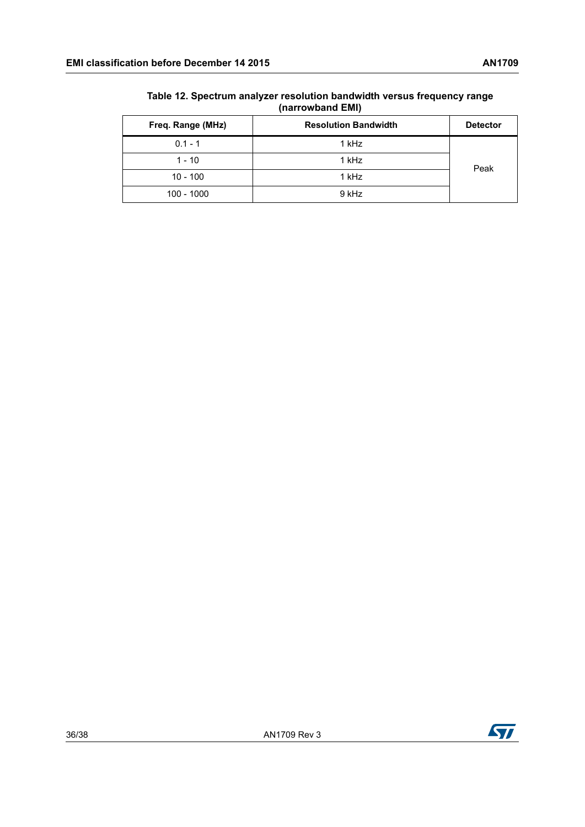| Freq. Range (MHz) | <b>Resolution Bandwidth</b> | <b>Detector</b> |  |
|-------------------|-----------------------------|-----------------|--|
| $0.1 - 1$         | 1 kHz                       |                 |  |
| $1 - 10$          | 1 kHz                       | Peak            |  |
| $10 - 100$        | 1 kHz                       |                 |  |
| 100 - 1000        | 9 kHz                       |                 |  |

#### <span id="page-35-0"></span>**Table 12. Spectrum analyzer resolution bandwidth versus frequency range (narrowband EMI)**

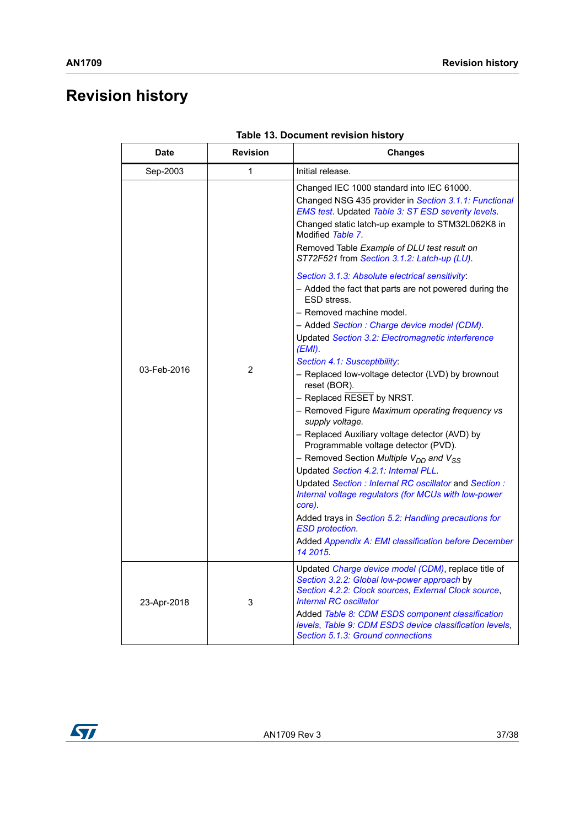# <span id="page-36-0"></span>**Revision history**

<span id="page-36-1"></span>

| Date        | <b>Revision</b> | <b>Changes</b>                                                                                                                                                                                                                                                                                                                                                                                                                                                                                                                                                                                                                                                                                                                                                                                                                                                                                                                                                                                                                                                                                                                                                                                                                                                                                              |
|-------------|-----------------|-------------------------------------------------------------------------------------------------------------------------------------------------------------------------------------------------------------------------------------------------------------------------------------------------------------------------------------------------------------------------------------------------------------------------------------------------------------------------------------------------------------------------------------------------------------------------------------------------------------------------------------------------------------------------------------------------------------------------------------------------------------------------------------------------------------------------------------------------------------------------------------------------------------------------------------------------------------------------------------------------------------------------------------------------------------------------------------------------------------------------------------------------------------------------------------------------------------------------------------------------------------------------------------------------------------|
| Sep-2003    | 1               | Initial release.                                                                                                                                                                                                                                                                                                                                                                                                                                                                                                                                                                                                                                                                                                                                                                                                                                                                                                                                                                                                                                                                                                                                                                                                                                                                                            |
| 03-Feb-2016 | $\overline{2}$  | Changed IEC 1000 standard into IEC 61000.<br>Changed NSG 435 provider in Section 3.1.1: Functional<br>EMS test. Updated Table 3: ST ESD severity levels.<br>Changed static latch-up example to STM32L062K8 in<br>Modified Table 7.<br>Removed Table Example of DLU test result on<br>ST72F521 from Section 3.1.2: Latch-up (LU).<br>Section 3.1.3: Absolute electrical sensitivity:<br>- Added the fact that parts are not powered during the<br>ESD stress.<br>- Removed machine model.<br>- Added Section : Charge device model (CDM).<br>Updated Section 3.2: Electromagnetic interference<br>$(EMI)$ .<br>Section 4.1: Susceptibility:<br>- Replaced low-voltage detector (LVD) by brownout<br>reset (BOR).<br>- Replaced RESET by NRST.<br>- Removed Figure Maximum operating frequency vs<br>supply voltage.<br>- Replaced Auxiliary voltage detector (AVD) by<br>Programmable voltage detector (PVD).<br>– Removed Section <i>Multiple V<sub>DD</sub> and V<sub>SS</sub></i><br>Updated Section 4.2.1: Internal PLL.<br>Updated Section: Internal RC oscillator and Section:<br>Internal voltage regulators (for MCUs with low-power<br>core).<br>Added trays in Section 5.2: Handling precautions for<br><b>ESD protection.</b><br>Added Appendix A: EMI classification before December<br>14 2015. |
| 23-Apr-2018 | 3               | Updated Charge device model (CDM), replace title of<br>Section 3.2.2: Global low-power approach by<br>Section 4.2.2: Clock sources, External Clock source,<br><b>Internal RC oscillator</b><br>Added Table 8: CDM ESDS component classification<br>levels, Table 9: CDM ESDS device classification levels,<br>Section 5.1.3: Ground connections                                                                                                                                                                                                                                                                                                                                                                                                                                                                                                                                                                                                                                                                                                                                                                                                                                                                                                                                                             |

| Table 13. Document revision history |  |
|-------------------------------------|--|
|                                     |  |